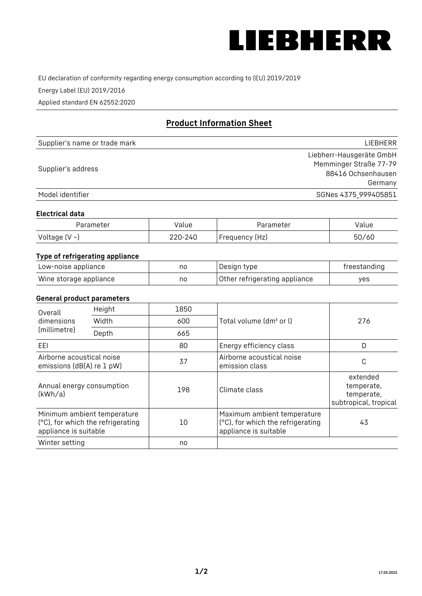

EU declaration of conformity regarding energy consumption according to (EU) 2019/2019

Energy Label (EU) 2019/2016

Applied standard EN 62552:2020

# **Product Information Sheet**

| Supplier's name or trade mark | LIEBHERR                 |
|-------------------------------|--------------------------|
|                               | Liebherr-Hausgeräte GmbH |
| Supplier's address            | Memminger Straße 77-79   |
|                               | 88416 Ochsenhausen       |
|                               | Germany                  |
| Model identifier              | SGNes 4375_999405851     |

## **Electrical data**

| Parameter          | Value   | Parameter       | Value |
|--------------------|---------|-----------------|-------|
| Voltage $(V \sim)$ | 220-240 | 'Frequency (Hz) | 50/60 |

# **Type of refrigerating appliance**

| Low-noise appliance    | nc | Design type                   | freestanding |
|------------------------|----|-------------------------------|--------------|
| Wine storage appliance | nc | Other refrigerating appliance | ves          |

## **General product parameters**

| Height<br>Overall                                      |                                                                  | 1850 |                                                                                           |                                                               |
|--------------------------------------------------------|------------------------------------------------------------------|------|-------------------------------------------------------------------------------------------|---------------------------------------------------------------|
| dimensions<br>(millimetre)                             | Width                                                            | 600  | Total volume (dm <sup>3</sup> or l)                                                       | 276                                                           |
|                                                        | Depth                                                            | 665  |                                                                                           |                                                               |
| EEL                                                    |                                                                  | 80   | Energy efficiency class                                                                   | D                                                             |
| Airborne acoustical noise<br>emissions (dB(A) re 1 pW) |                                                                  | 37   | Airborne acoustical noise<br>emission class                                               | С                                                             |
| Annual energy consumption<br>(kWh/a)                   |                                                                  | 198  | Climate class                                                                             | extended<br>temperate,<br>temperate,<br>subtropical, tropical |
| appliance is suitable                                  | Minimum ambient temperature<br>(°C), for which the refrigerating | 10   | Maximum ambient temperature<br>(°C), for which the refrigerating<br>appliance is suitable | 43                                                            |
| Winter setting                                         |                                                                  | no   |                                                                                           |                                                               |